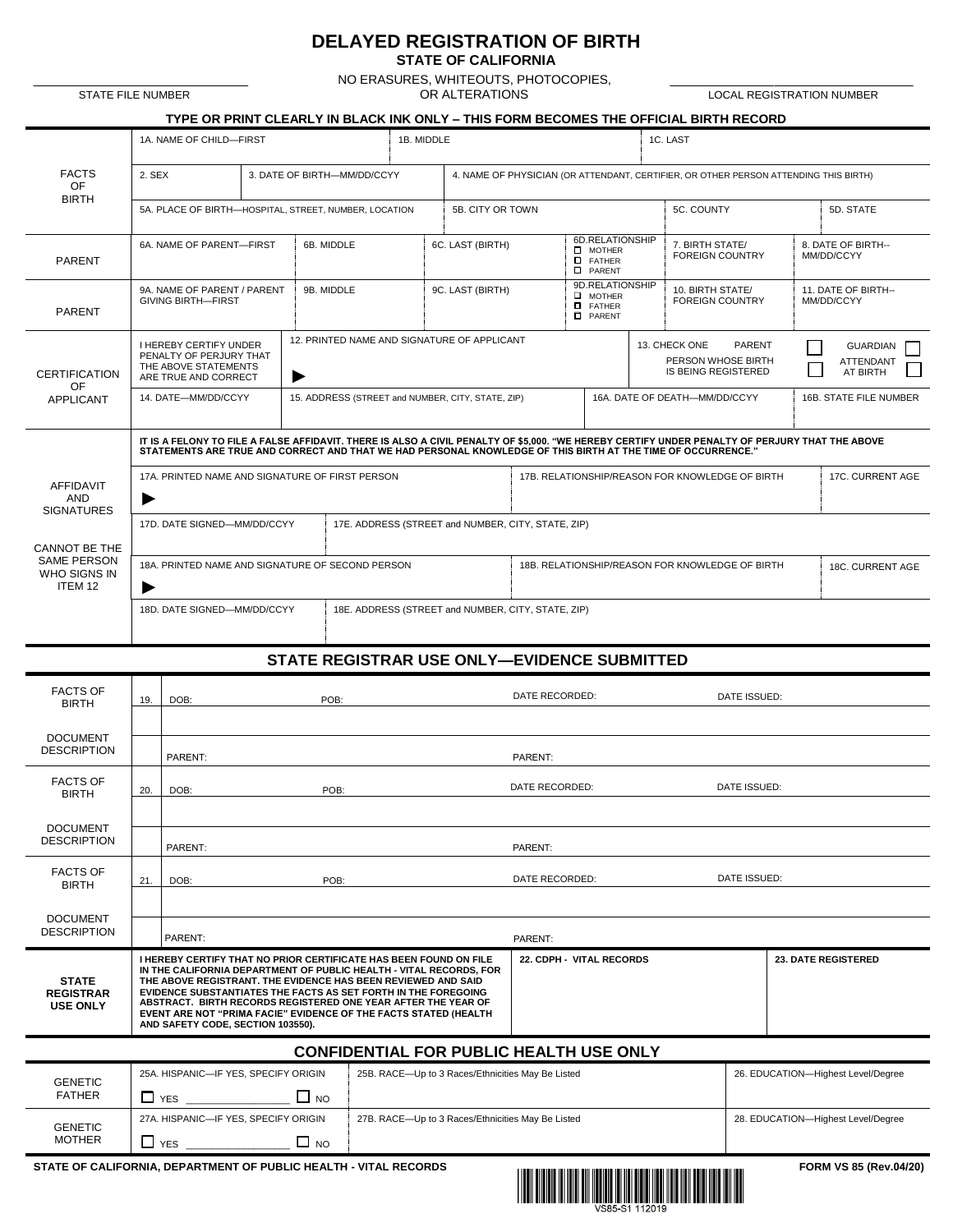## **DELAYED REGISTRATION OF BIRTH**

**STATE OF CALIFORNIA**

NO ERASURES, WHITEOUTS, PHOTOCOPIES, \_\_\_\_\_\_\_\_\_\_\_\_\_\_\_\_\_\_\_\_\_\_\_\_\_\_\_\_\_\_\_ \_\_\_\_\_\_\_\_\_\_\_\_\_\_\_\_\_\_\_\_\_\_\_\_\_\_\_\_\_\_\_\_\_\_\_ R
STATE FILE NUMBER OR ALTERATIONS
SETTING A LOCAL REGISTRATION NUMBER

**TYPE OR PRINT CLEARLY IN BLACK INK ONLY – THIS FORM BECOMES THE OFFICIAL BIRTH RECORD** 

| <b>STATE FILE NUMBER</b> |  |  |  |
|--------------------------|--|--|--|
|--------------------------|--|--|--|

FACTS OF BIRTH

| 1A. NAME OF CHILD-FIRST                               |                             | 1B. MIDDLE                                                                           |            | 1C. LAST |           |  |  |
|-------------------------------------------------------|-----------------------------|--------------------------------------------------------------------------------------|------------|----------|-----------|--|--|
| 2. SEX                                                | 3. DATE OF BIRTH-MM/DD/CCYY | 4. NAME OF PHYSICIAN (OR ATTENDANT, CERTIFIER, OR OTHER PERSON ATTENDING THIS BIRTH) |            |          |           |  |  |
| 5A. PLACE OF BIRTH-HOSPITAL, STREET, NUMBER, LOCATION |                             | 5B. CITY OR TOWN                                                                     | 5C. COUNTY |          | 5D. STATE |  |  |

| <b>PARENT</b>                                                                                      | 6A. NAME OF PARENT-FIRST                                                                                                                                                                                                                                       | 6B. MIDDLE | 6C. LAST (BIRTH)                                                                   |                                                 | 6D.RELATIONSHIP<br>$\square$ MOTHER<br>$\Box$ FATHER<br><b>D</b> PARENT |                                                                                    | 7. BIRTH STATE/<br><b>FOREIGN COUNTRY</b>  | 8. DATE OF BIRTH--<br>MM/DD/CCYY |                                                 |  |
|----------------------------------------------------------------------------------------------------|----------------------------------------------------------------------------------------------------------------------------------------------------------------------------------------------------------------------------------------------------------------|------------|------------------------------------------------------------------------------------|-------------------------------------------------|-------------------------------------------------------------------------|------------------------------------------------------------------------------------|--------------------------------------------|----------------------------------|-------------------------------------------------|--|
| <b>PARENT</b>                                                                                      | 9A. NAME OF PARENT / PARENT<br><b>GIVING BIRTH-FIRST</b>                                                                                                                                                                                                       | 9B. MIDDLE | 9C. LAST (BIRTH)                                                                   |                                                 | 9D.RELATIONSHIP<br>$\Box$ MOTHER<br>$I$ FATHER<br><b>D</b> PARENT       |                                                                                    | 10. BIRTH STATE/<br><b>FOREIGN COUNTRY</b> |                                  | 11. DATE OF BIRTH--<br>MM/DD/CCYY               |  |
| <b>CERTIFICATION</b><br>OF                                                                         | <b>I HEREBY CERTIFY UNDER</b><br>PENALTY OF PERJURY THAT<br>THE ABOVE STATEMENTS<br>ARE TRUE AND CORRECT                                                                                                                                                       | ▶          | 12. PRINTED NAME AND SIGNATURE OF APPLICANT                                        |                                                 |                                                                         | <b>PARENT</b><br>13. CHECK ONE<br>PERSON WHOSE BIRTH<br><b>IS BEING REGISTERED</b> |                                            |                                  | <b>GUARDIAN</b><br><b>ATTENDANT</b><br>AT BIRTH |  |
| APPLICANT                                                                                          | 14. DATE-MM/DD/CCYY                                                                                                                                                                                                                                            |            | 15. ADDRESS (STREET and NUMBER, CITY, STATE, ZIP)<br>16A. DATE OF DEATH-MM/DD/CCYY |                                                 |                                                                         |                                                                                    |                                            | 16B. STATE FILE NUMBER           |                                                 |  |
|                                                                                                    | IT IS A FELONY TO FILE A FALSE AFFIDAVIT. THERE IS ALSO A CIVIL PENALTY OF \$5,000. "WE HEREBY CERTIFY UNDER PENALTY OF PERJURY THAT THE ABOVE<br>STATEMENTS ARE TRUE AND CORRECT AND THAT WE HAD PERSONAL KNOWLEDGE OF THIS BIRTH AT THE TIME OF OCCURRENCE." |            |                                                                                    |                                                 |                                                                         |                                                                                    |                                            |                                  |                                                 |  |
| AFFIDAVIT<br><b>AND</b><br><b>SIGNATURES</b>                                                       | 17A. PRINTED NAME AND SIGNATURE OF FIRST PERSON<br>▶                                                                                                                                                                                                           |            |                                                                                    | 17B. RELATIONSHIP/REASON FOR KNOWLEDGE OF BIRTH |                                                                         |                                                                                    |                                            | 17C. CURRENT AGE                 |                                                 |  |
| 17D. DATE SIGNED-MM/DD/CCYY<br>17E. ADDRESS (STREET and NUMBER, CITY, STATE, ZIP)<br>CANNOT BE THE |                                                                                                                                                                                                                                                                |            |                                                                                    |                                                 |                                                                         |                                                                                    |                                            |                                  |                                                 |  |
| <b>SAME PERSON</b><br>WHO SIGNS IN<br>ITEM 12                                                      | 18A. PRINTED NAME AND SIGNATURE OF SECOND PERSON<br>▶                                                                                                                                                                                                          |            |                                                                                    | 18B. RELATIONSHIP/REASON FOR KNOWLEDGE OF BIRTH |                                                                         |                                                                                    | 18C. CURRENT AGE                           |                                  |                                                 |  |
|                                                                                                    | 18D. DATE SIGNED-MM/DD/CCYY                                                                                                                                                                                                                                    |            | 18E. ADDRESS (STREET and NUMBER, CITY, STATE, ZIP)                                 |                                                 |                                                                         |                                                                                    |                                            |                                  |                                                 |  |

## **STATE REGISTRAR USE ONLY—EVIDENCE SUBMITTED**

| <b>FACTS OF</b><br><b>BIRTH</b>                     | 19.                 | POB:<br>DOB:                                                                                                                                                                                                                                                                                                                                                                                                                                                       |                                                   | DATE RECORDED:           | DATE ISSUED: |                                    |  |
|-----------------------------------------------------|---------------------|--------------------------------------------------------------------------------------------------------------------------------------------------------------------------------------------------------------------------------------------------------------------------------------------------------------------------------------------------------------------------------------------------------------------------------------------------------------------|---------------------------------------------------|--------------------------|--------------|------------------------------------|--|
|                                                     |                     |                                                                                                                                                                                                                                                                                                                                                                                                                                                                    |                                                   |                          |              |                                    |  |
| <b>DOCUMENT</b><br><b>DESCRIPTION</b>               | PARENT:             |                                                                                                                                                                                                                                                                                                                                                                                                                                                                    | PARENT:                                           |                          |              |                                    |  |
| <b>FACTS OF</b><br><b>BIRTH</b>                     | POB:<br>DOB:<br>20. |                                                                                                                                                                                                                                                                                                                                                                                                                                                                    | DATE RECORDED:<br>DATE ISSUED:                    |                          |              |                                    |  |
|                                                     |                     |                                                                                                                                                                                                                                                                                                                                                                                                                                                                    |                                                   |                          |              |                                    |  |
| <b>DOCUMENT</b><br><b>DESCRIPTION</b>               |                     | PARENT:                                                                                                                                                                                                                                                                                                                                                                                                                                                            |                                                   | PARENT:                  |              |                                    |  |
| <b>FACTS OF</b><br><b>BIRTH</b>                     | 21.                 | DOB:<br>POB:                                                                                                                                                                                                                                                                                                                                                                                                                                                       |                                                   | DATE RECORDED:           |              | DATE ISSUED:                       |  |
|                                                     |                     |                                                                                                                                                                                                                                                                                                                                                                                                                                                                    |                                                   |                          |              |                                    |  |
| <b>DOCUMENT</b><br><b>DESCRIPTION</b>               |                     | PARENT:                                                                                                                                                                                                                                                                                                                                                                                                                                                            |                                                   | PARENT:                  |              |                                    |  |
| <b>STATE</b><br><b>REGISTRAR</b><br><b>USE ONLY</b> |                     | <b>I HEREBY CERTIFY THAT NO PRIOR CERTIFICATE HAS BEEN FOUND ON FILE</b><br>IN THE CALIFORNIA DEPARTMENT OF PUBLIC HEALTH - VITAL RECORDS, FOR<br>THE ABOVE REGISTRANT. THE EVIDENCE HAS BEEN REVIEWED AND SAID<br><b>EVIDENCE SUBSTANTIATES THE FACTS AS SET FORTH IN THE FOREGOING</b><br>ABSTRACT. BIRTH RECORDS REGISTERED ONE YEAR AFTER THE YEAR OF<br>EVENT ARE NOT "PRIMA FACIE" EVIDENCE OF THE FACTS STATED (HEALTH<br>AND SAFETY CODE, SECTION 103550). |                                                   | 22. CDPH - VITAL RECORDS |              | <b>23. DATE REGISTERED</b>         |  |
|                                                     |                     |                                                                                                                                                                                                                                                                                                                                                                                                                                                                    | <b>CONFIDENTIAL FOR PUBLIC HEALTH USE ONLY</b>    |                          |              |                                    |  |
| <b>GENETIC</b>                                      |                     | 25A. HISPANIC-IF YES, SPECIFY ORIGIN                                                                                                                                                                                                                                                                                                                                                                                                                               | 25B. RACE-Up to 3 Races/Ethnicities May Be Listed |                          |              | 26. EDUCATION-Highest Level/Degree |  |
| <b>FATHER</b>                                       |                     | $\Box$ YES $\Box$ NO                                                                                                                                                                                                                                                                                                                                                                                                                                               |                                                   |                          |              |                                    |  |
| <b>GENETIC</b>                                      |                     | 27A. HISPANIC-IF YES, SPECIFY ORIGIN                                                                                                                                                                                                                                                                                                                                                                                                                               | 27B. RACE-Up to 3 Races/Ethnicities May Be Listed |                          |              | 28. EDUCATION-Highest Level/Degree |  |
| <b>MOTHER</b>                                       |                     |                                                                                                                                                                                                                                                                                                                                                                                                                                                                    |                                                   |                          |              |                                    |  |
|                                                     |                     | STATE OF CALIFORNIA, DEPARTMENT OF PUBLIC HEALTH - VITAL RECORDS                                                                                                                                                                                                                                                                                                                                                                                                   |                                                   |                          |              | FORM VS 85 (Rev.04/20)             |  |